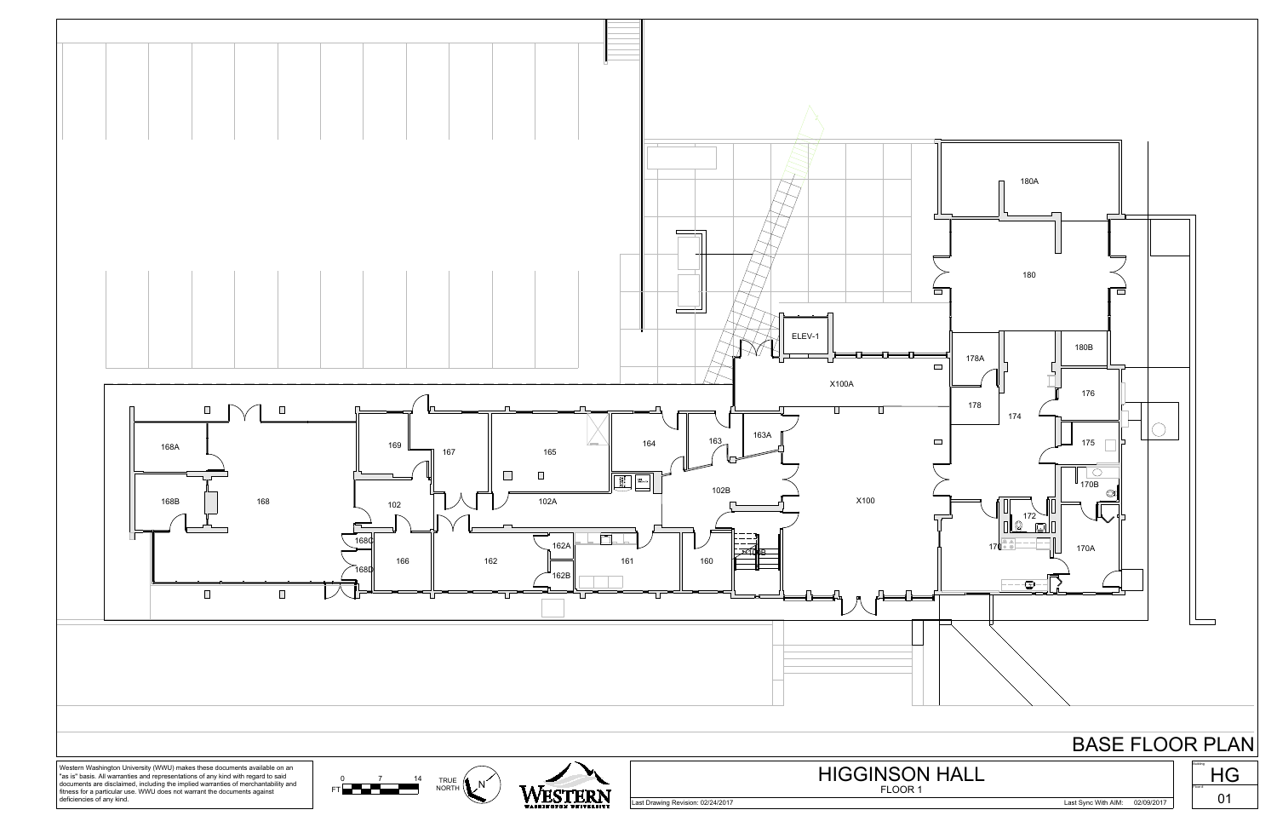





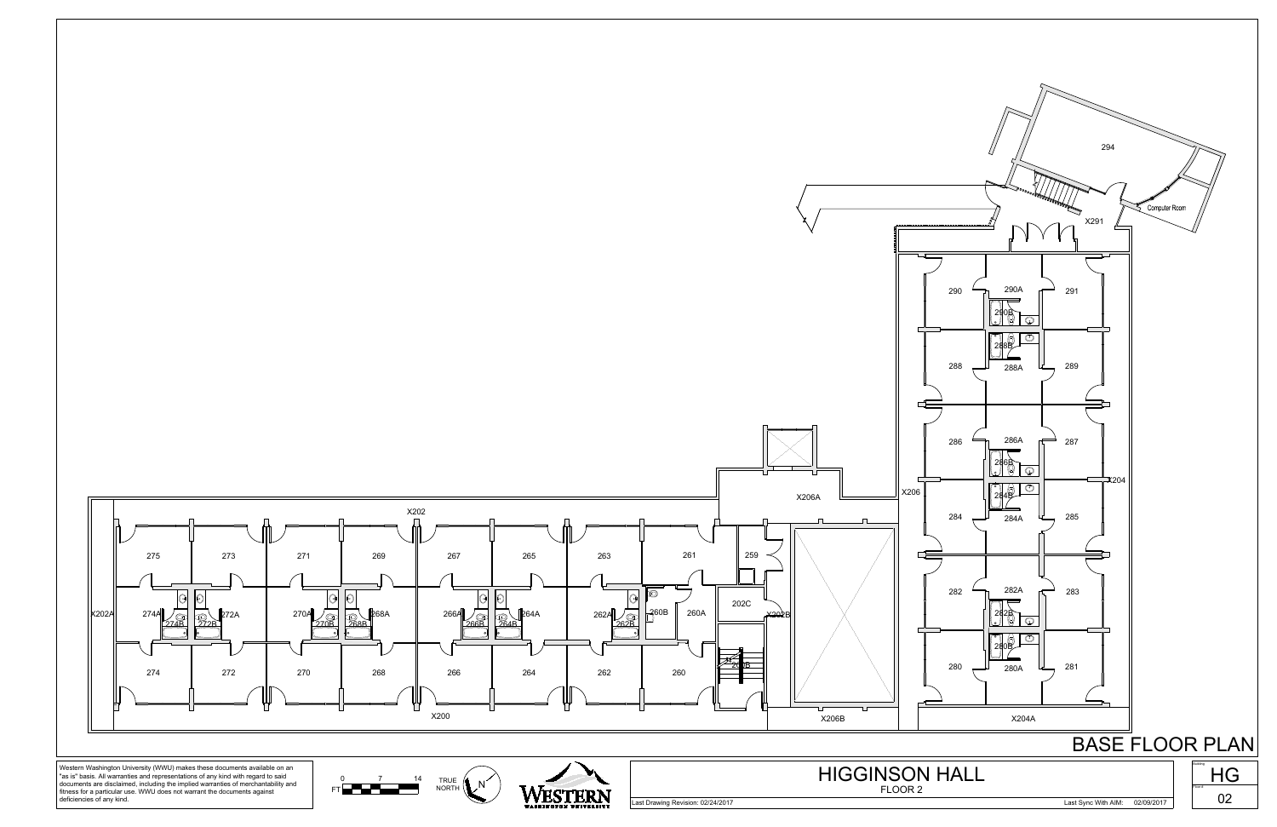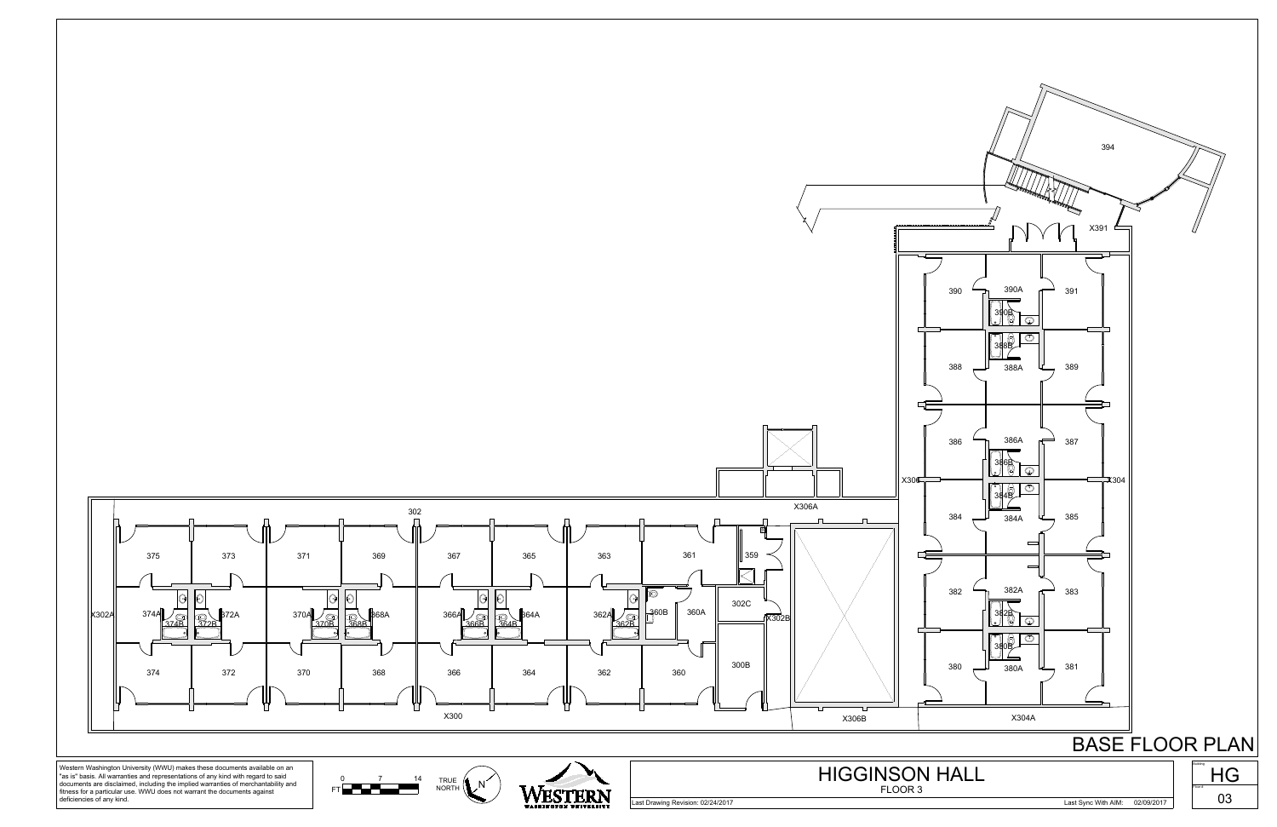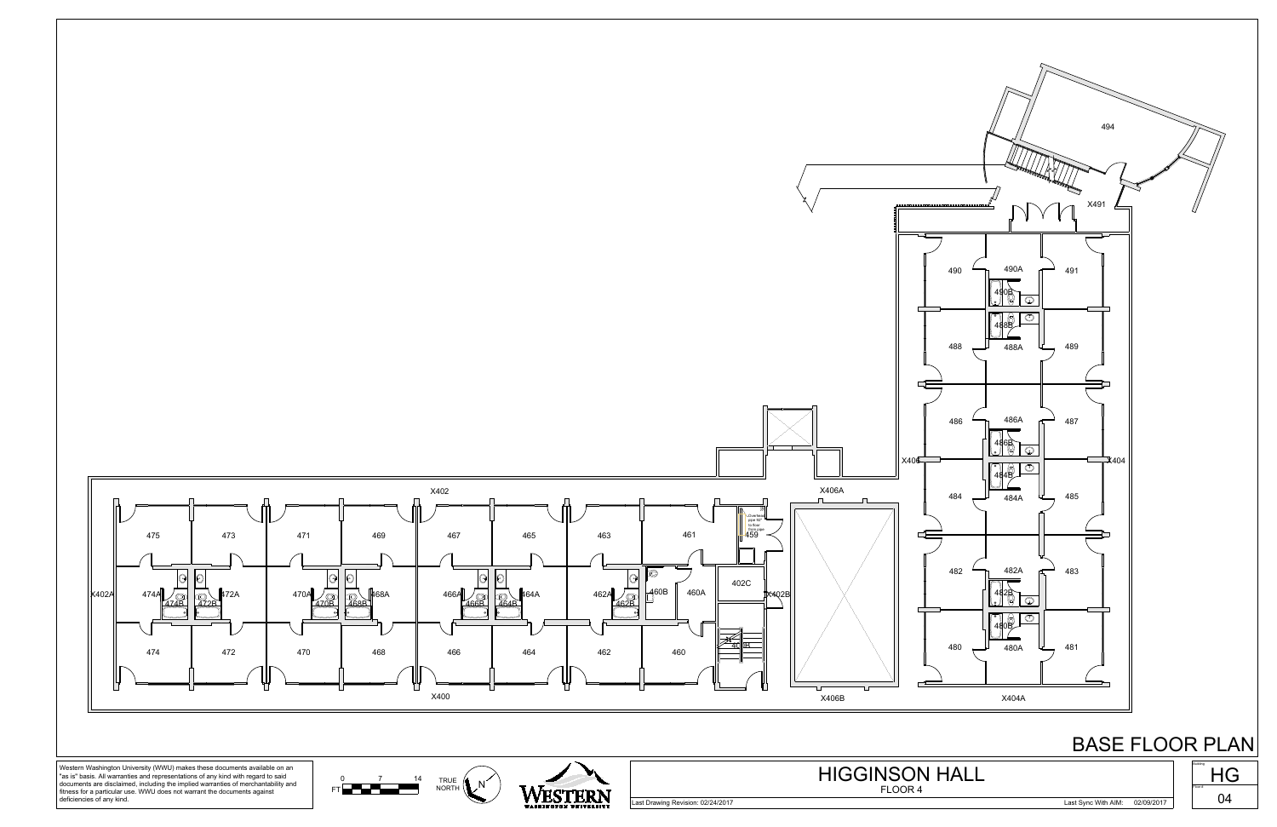